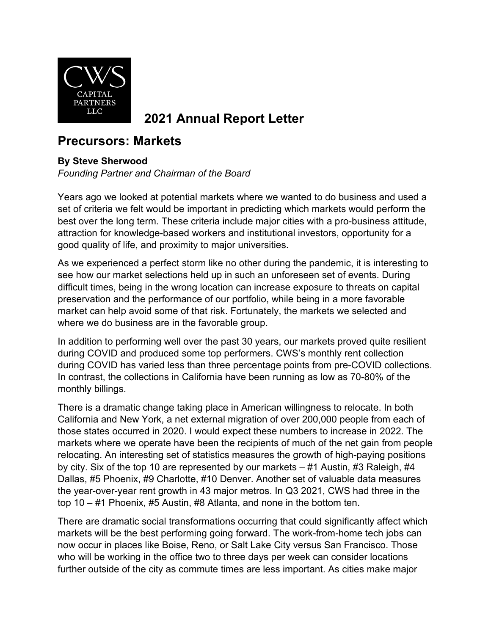

## **2021 Annual Report Letter**

## **Precursors: Markets**

## **By Steve Sherwood**

*Founding Partner and Chairman of the Board*

Years ago we looked at potential markets where we wanted to do business and used a set of criteria we felt would be important in predicting which markets would perform the best over the long term. These criteria include major cities with a pro-business attitude, attraction for knowledge-based workers and institutional investors, opportunity for a good quality of life, and proximity to major universities.

As we experienced a perfect storm like no other during the pandemic, it is interesting to see how our market selections held up in such an unforeseen set of events. During difficult times, being in the wrong location can increase exposure to threats on capital preservation and the performance of our portfolio, while being in a more favorable market can help avoid some of that risk. Fortunately, the markets we selected and where we do business are in the favorable group.

In addition to performing well over the past 30 years, our markets proved quite resilient during COVID and produced some top performers. CWS's monthly rent collection during COVID has varied less than three percentage points from pre-COVID collections. In contrast, the collections in California have been running as low as 70-80% of the monthly billings.

There is a dramatic change taking place in American willingness to relocate. In both California and New York, a net external migration of over 200,000 people from each of those states occurred in 2020. I would expect these numbers to increase in 2022. The markets where we operate have been the recipients of much of the net gain from people relocating. An interesting set of statistics measures the growth of high-paying positions by city. Six of the top 10 are represented by our markets – #1 Austin, #3 Raleigh, #4 Dallas, #5 Phoenix, #9 Charlotte, #10 Denver. Another set of valuable data measures the year-over-year rent growth in 43 major metros. In Q3 2021, CWS had three in the top 10 – #1 Phoenix, #5 Austin, #8 Atlanta, and none in the bottom ten.

There are dramatic social transformations occurring that could significantly affect which markets will be the best performing going forward. The work-from-home tech jobs can now occur in places like Boise, Reno, or Salt Lake City versus San Francisco. Those who will be working in the office two to three days per week can consider locations further outside of the city as commute times are less important. As cities make major